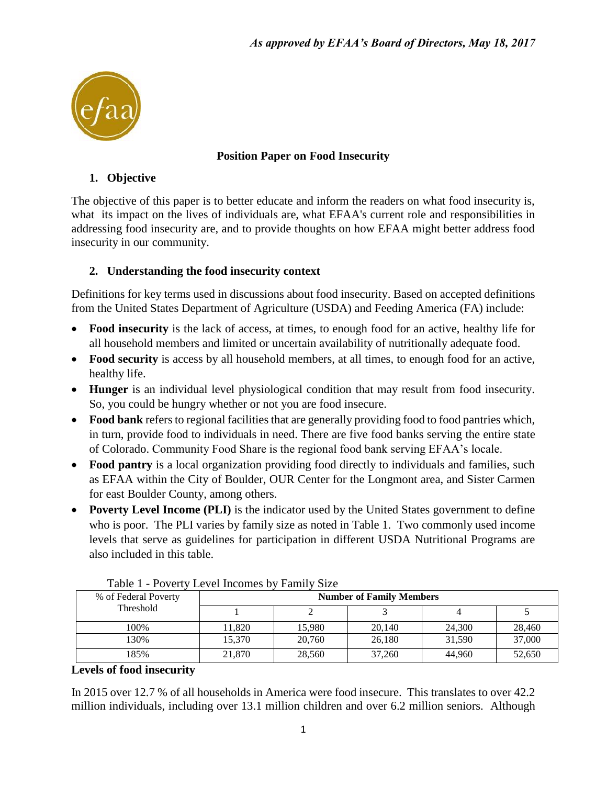

## **Position Paper on Food Insecurity**

## **1. Objective**

The objective of this paper is to better educate and inform the readers on what food insecurity is, what its impact on the lives of individuals are, what EFAA's current role and responsibilities in addressing food insecurity are, and to provide thoughts on how EFAA might better address food insecurity in our community.

## **2. Understanding the food insecurity context**

Definitions for key terms used in discussions about food insecurity. Based on accepted definitions from the United States Department of Agriculture (USDA) and Feeding America (FA) include:

- **Food insecurity** is the lack of access, at times, to enough food for an active, healthy life for all household members and limited or uncertain availability of nutritionally adequate food.
- **Food security** is access by all household members, at all times, to enough food for an active, healthy life.
- **Hunger** is an individual level physiological condition that may result from food insecurity. So, you could be hungry whether or not you are food insecure.
- **Food bank** refers to regional facilities that are generally providing food to food pantries which, in turn, provide food to individuals in need. There are five food banks serving the entire state of Colorado. Community Food Share is the regional food bank serving EFAA's locale.
- **Food pantry** is a local organization providing food directly to individuals and families, such as EFAA within the City of Boulder, OUR Center for the Longmont area, and Sister Carmen for east Boulder County, among others.
- **Poverty Level Income (PLI)** is the indicator used by the United States government to define who is poor. The PLI varies by family size as noted in Table 1. Two commonly used income levels that serve as guidelines for participation in different USDA Nutritional Programs are also included in this table.

|  | % of Federal Poverty<br>Threshold | <b>Number of Family Members</b> |        |        |        |        |  |
|--|-----------------------------------|---------------------------------|--------|--------|--------|--------|--|
|  |                                   |                                 |        |        |        |        |  |
|  | 100%                              | 11.820                          | 15,980 | 20,140 | 24,300 | 28,460 |  |
|  | 130%                              | 15.370                          | 20,760 | 26,180 | 31,590 | 37,000 |  |
|  | 185%                              | 21,870                          | 28,560 | 37,260 | 44,960 | 52,650 |  |

Table 1 - Poverty Level Incomes by Family Size

#### **Levels of food insecurity**

In 2015 over 12.7 % of all households in America were food insecure. This translates to over 42.2 million individuals, including over 13.1 million children and over 6.2 million seniors. Although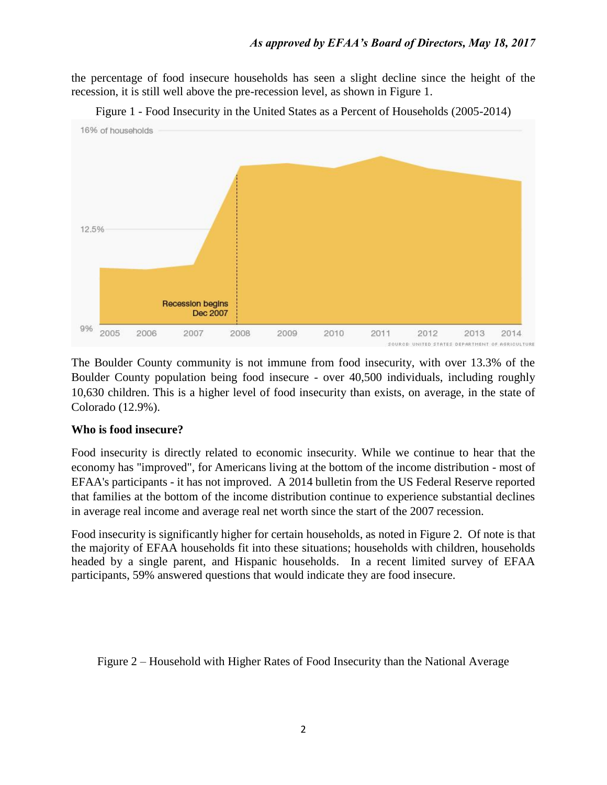the percentage of food insecure households has seen a slight decline since the height of the recession, it is still well above the pre-recession level, as shown in Figure 1.



Figure 1 - Food Insecurity in the United States as a Percent of Households (2005-2014)

The Boulder County community is not immune from food insecurity, with over 13.3% of the Boulder County population being food insecure - over 40,500 individuals, including roughly 10,630 children. This is a higher level of food insecurity than exists, on average, in the state of Colorado (12.9%).

#### **Who is food insecure?**

Food insecurity is directly related to economic insecurity. While we continue to hear that the economy has "improved", for Americans living at the bottom of the income distribution - most of EFAA's participants - it has not improved. A 2014 bulletin from the US Federal Reserve reported that families at the bottom of the income distribution continue to experience substantial declines in average real income and average real net worth since the start of the 2007 recession.

Food insecurity is significantly higher for certain households, as noted in Figure 2. Of note is that the majority of EFAA households fit into these situations; households with children, households headed by a single parent, and Hispanic households. In a recent limited survey of EFAA participants, 59% answered questions that would indicate they are food insecure.

Figure 2 – Household with Higher Rates of Food Insecurity than the National Average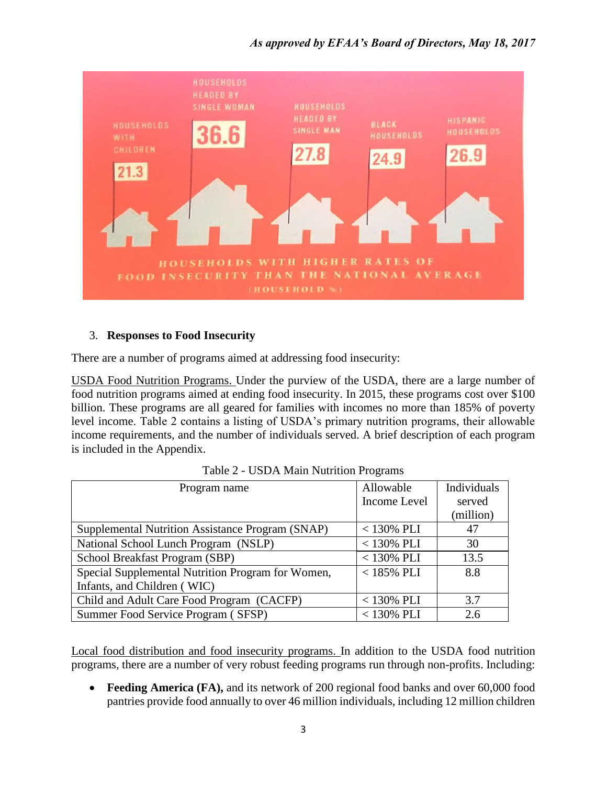## *As approved by EFAA's Board of Directors, May 18, 2017*



#### 3. **Responses to Food Insecurity**

There are a number of programs aimed at addressing food insecurity:

USDA Food Nutrition Programs. Under the purview of the USDA, there are a large number of food nutrition programs aimed at ending food insecurity. In 2015, these programs cost over \$100 billion. These programs are all geared for families with incomes no more than 185% of poverty level income. Table 2 contains a listing of USDA's primary nutrition programs, their allowable income requirements, and the number of individuals served. A brief description of each program is included in the Appendix.

| Program name                                      | Allowable    | Individuals |
|---------------------------------------------------|--------------|-------------|
|                                                   | Income Level | served      |
|                                                   |              | (million)   |
| Supplemental Nutrition Assistance Program (SNAP)  | $<$ 130% PLI | 47          |
| National School Lunch Program (NSLP)              | $<$ 130% PLI | 30          |
| School Breakfast Program (SBP)                    | $<$ 130% PLI | 13.5        |
| Special Supplemental Nutrition Program for Women, | $<$ 185% PLI | 8.8         |
| Infants, and Children (WIC)                       |              |             |
| Child and Adult Care Food Program (CACFP)         | $<$ 130% PLI | 3.7         |
| Summer Food Service Program (SFSP)                | $<130\%$ PLI | 2.6         |

Table 2 - USDA Main Nutrition Programs

Local food distribution and food insecurity programs. In addition to the USDA food nutrition programs, there are a number of very robust feeding programs run through non-profits. Including:

• **Feeding America (FA),** and its network of 200 regional food banks and over 60,000 food pantries provide food annually to over 46 million individuals, including 12 million children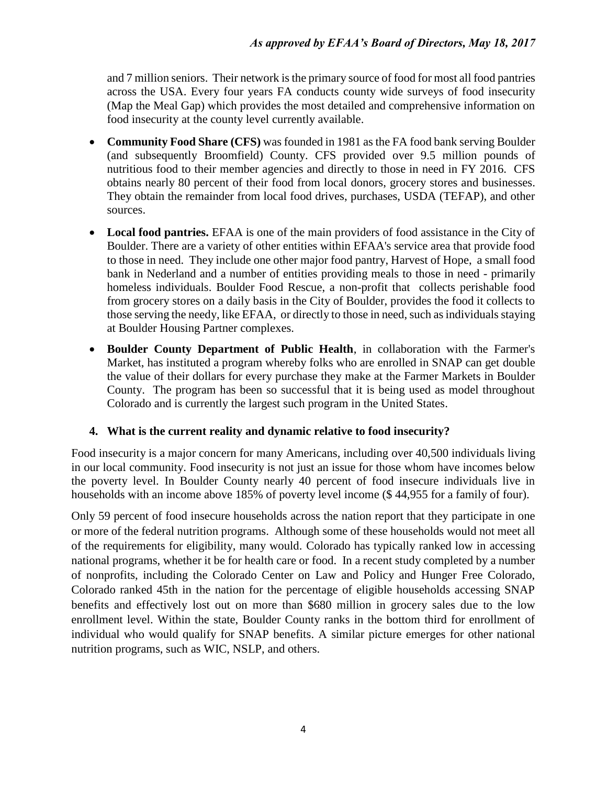and 7 million seniors. Their network is the primary source of food for most all food pantries across the USA. Every four years FA conducts county wide surveys of food insecurity (Map the Meal Gap) which provides the most detailed and comprehensive information on food insecurity at the county level currently available.

- **Community Food Share (CFS)** was founded in 1981 as the FA food bank serving Boulder (and subsequently Broomfield) County. CFS provided over 9.5 million pounds of nutritious food to their member agencies and directly to those in need in FY 2016. CFS obtains nearly 80 percent of their food from local donors, grocery stores and businesses. They obtain the remainder from local food drives, purchases, USDA (TEFAP), and other sources.
- **Local food pantries.** EFAA is one of the main providers of food assistance in the City of Boulder. There are a variety of other entities within EFAA's service area that provide food to those in need. They include one other major food pantry, Harvest of Hope, a small food bank in Nederland and a number of entities providing meals to those in need - primarily homeless individuals. Boulder Food Rescue, a non-profit that collects perishable food from grocery stores on a daily basis in the City of Boulder, provides the food it collects to those serving the needy, like EFAA, or directly to those in need, such as individuals staying at Boulder Housing Partner complexes.
- **Boulder County Department of Public Health**, in collaboration with the Farmer's Market, has instituted a program whereby folks who are enrolled in SNAP can get double the value of their dollars for every purchase they make at the Farmer Markets in Boulder County. The program has been so successful that it is being used as model throughout Colorado and is currently the largest such program in the United States.

## **4. What is the current reality and dynamic relative to food insecurity?**

Food insecurity is a major concern for many Americans, including over 40,500 individuals living in our local community. Food insecurity is not just an issue for those whom have incomes below the poverty level. In Boulder County nearly 40 percent of food insecure individuals live in households with an income above 185% of poverty level income (\$ 44,955 for a family of four).

Only 59 percent of food insecure households across the nation report that they participate in one or more of the federal nutrition programs. Although some of these households would not meet all of the requirements for eligibility, many would. Colorado has typically ranked low in accessing national programs, whether it be for health care or food. In a recent study completed by a number of nonprofits, including the Colorado Center on Law and Policy and Hunger Free Colorado, Colorado ranked 45th in the nation for the percentage of eligible households accessing SNAP benefits and effectively lost out on more than \$680 million in grocery sales due to the low enrollment level. Within the state, Boulder County ranks in the bottom third for enrollment of individual who would qualify for SNAP benefits. A similar picture emerges for other national nutrition programs, such as WIC, NSLP, and others.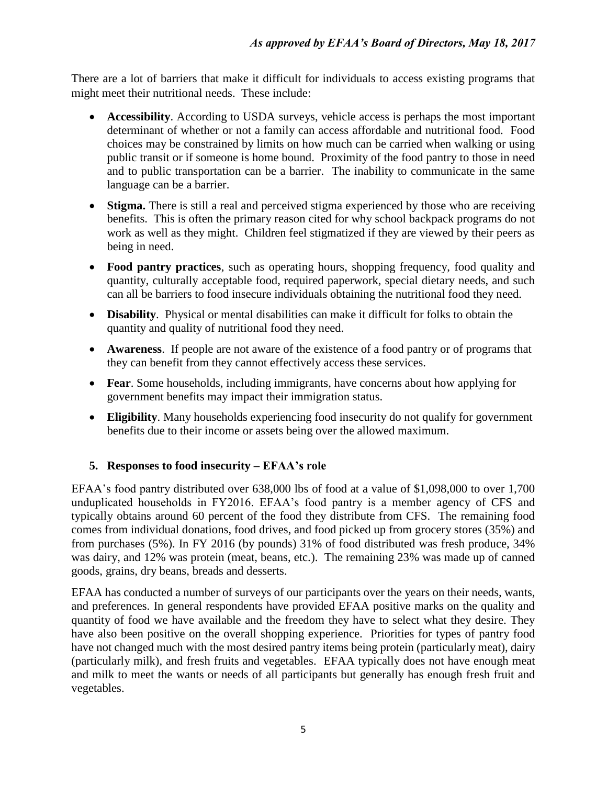There are a lot of barriers that make it difficult for individuals to access existing programs that might meet their nutritional needs. These include:

- **Accessibility**. According to USDA surveys, vehicle access is perhaps the most important determinant of whether or not a family can access affordable and nutritional food. Food choices may be constrained by limits on how much can be carried when walking or using public transit or if someone is home bound. Proximity of the food pantry to those in need and to public transportation can be a barrier. The inability to communicate in the same language can be a barrier.
- **Stigma.** There is still a real and perceived stigma experienced by those who are receiving benefits. This is often the primary reason cited for why school backpack programs do not work as well as they might. Children feel stigmatized if they are viewed by their peers as being in need.
- **Food pantry practices**, such as operating hours, shopping frequency, food quality and quantity, culturally acceptable food, required paperwork, special dietary needs, and such can all be barriers to food insecure individuals obtaining the nutritional food they need.
- **Disability**. Physical or mental disabilities can make it difficult for folks to obtain the quantity and quality of nutritional food they need.
- **Awareness**. If people are not aware of the existence of a food pantry or of programs that they can benefit from they cannot effectively access these services.
- **Fear**. Some households, including immigrants, have concerns about how applying for government benefits may impact their immigration status.
- **Eligibility**. Many households experiencing food insecurity do not qualify for government benefits due to their income or assets being over the allowed maximum.

# **5. Responses to food insecurity – EFAA's role**

EFAA's food pantry distributed over 638,000 lbs of food at a value of \$1,098,000 to over 1,700 unduplicated households in FY2016. EFAA's food pantry is a member agency of CFS and typically obtains around 60 percent of the food they distribute from CFS. The remaining food comes from individual donations, food drives, and food picked up from grocery stores (35%) and from purchases (5%). In FY 2016 (by pounds) 31% of food distributed was fresh produce, 34% was dairy, and 12% was protein (meat, beans, etc.). The remaining 23% was made up of canned goods, grains, dry beans, breads and desserts.

EFAA has conducted a number of surveys of our participants over the years on their needs, wants, and preferences. In general respondents have provided EFAA positive marks on the quality and quantity of food we have available and the freedom they have to select what they desire. They have also been positive on the overall shopping experience. Priorities for types of pantry food have not changed much with the most desired pantry items being protein (particularly meat), dairy (particularly milk), and fresh fruits and vegetables. EFAA typically does not have enough meat and milk to meet the wants or needs of all participants but generally has enough fresh fruit and vegetables.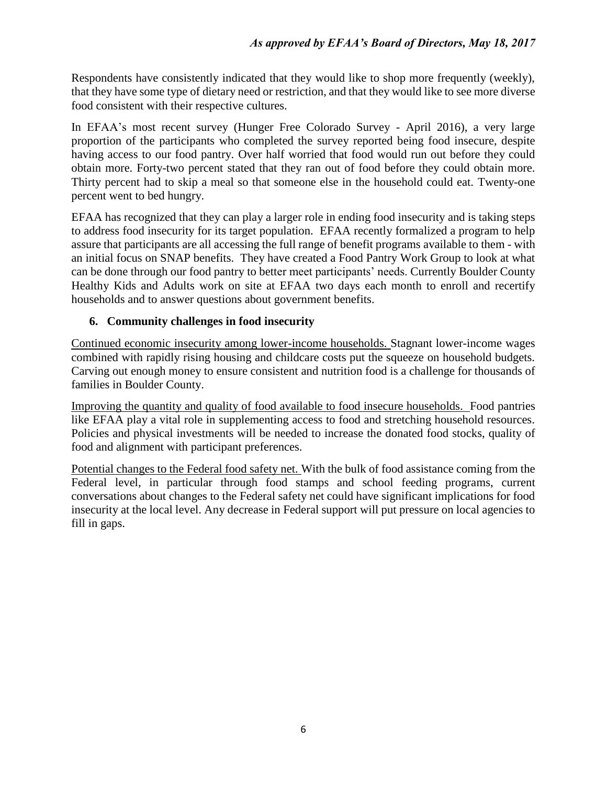Respondents have consistently indicated that they would like to shop more frequently (weekly), that they have some type of dietary need or restriction, and that they would like to see more diverse food consistent with their respective cultures.

In EFAA's most recent survey (Hunger Free Colorado Survey - April 2016), a very large proportion of the participants who completed the survey reported being food insecure, despite having access to our food pantry. Over half worried that food would run out before they could obtain more. Forty-two percent stated that they ran out of food before they could obtain more. Thirty percent had to skip a meal so that someone else in the household could eat. Twenty-one percent went to bed hungry.

EFAA has recognized that they can play a larger role in ending food insecurity and is taking steps to address food insecurity for its target population. EFAA recently formalized a program to help assure that participants are all accessing the full range of benefit programs available to them - with an initial focus on SNAP benefits. They have created a Food Pantry Work Group to look at what can be done through our food pantry to better meet participants' needs. Currently Boulder County Healthy Kids and Adults work on site at EFAA two days each month to enroll and recertify households and to answer questions about government benefits.

#### **6. Community challenges in food insecurity**

Continued economic insecurity among lower-income households. Stagnant lower-income wages combined with rapidly rising housing and childcare costs put the squeeze on household budgets. Carving out enough money to ensure consistent and nutrition food is a challenge for thousands of families in Boulder County.

Improving the quantity and quality of food available to food insecure households. Food pantries like EFAA play a vital role in supplementing access to food and stretching household resources. Policies and physical investments will be needed to increase the donated food stocks, quality of food and alignment with participant preferences.

Potential changes to the Federal food safety net. With the bulk of food assistance coming from the Federal level, in particular through food stamps and school feeding programs, current conversations about changes to the Federal safety net could have significant implications for food insecurity at the local level. Any decrease in Federal support will put pressure on local agencies to fill in gaps.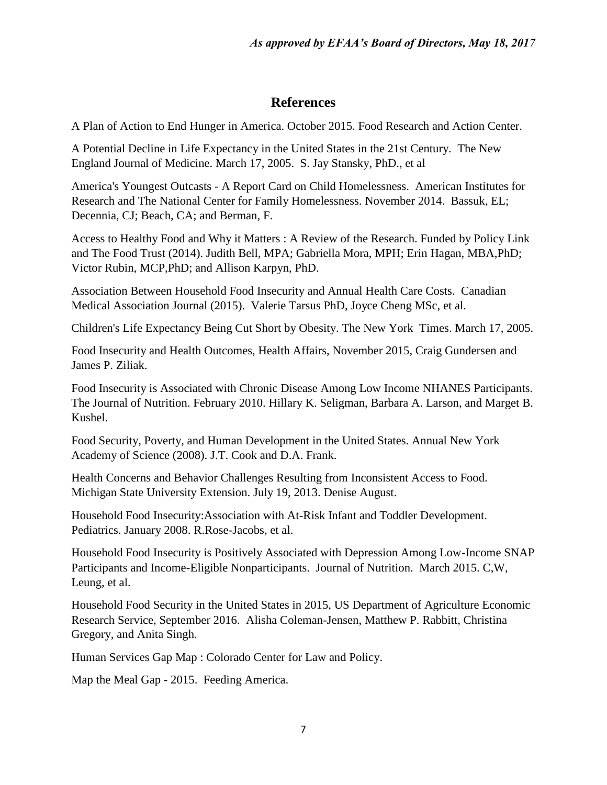# **References**

A Plan of Action to End Hunger in America. October 2015. Food Research and Action Center.

A Potential Decline in Life Expectancy in the United States in the 21st Century. The New England Journal of Medicine. March 17, 2005. S. Jay Stansky, PhD., et al

America's Youngest Outcasts - A Report Card on Child Homelessness. American Institutes for Research and The National Center for Family Homelessness. November 2014. Bassuk, EL; Decennia, CJ; Beach, CA; and Berman, F.

Access to Healthy Food and Why it Matters : A Review of the Research. Funded by Policy Link and The Food Trust (2014). Judith Bell, MPA; Gabriella Mora, MPH; Erin Hagan, MBA,PhD; Victor Rubin, MCP,PhD; and Allison Karpyn, PhD.

Association Between Household Food Insecurity and Annual Health Care Costs. Canadian Medical Association Journal (2015). Valerie Tarsus PhD, Joyce Cheng MSc, et al.

Children's Life Expectancy Being Cut Short by Obesity. The New York Times. March 17, 2005.

Food Insecurity and Health Outcomes, Health Affairs, November 2015, Craig Gundersen and James P. Ziliak.

Food Insecurity is Associated with Chronic Disease Among Low Income NHANES Participants. The Journal of Nutrition. February 2010. Hillary K. Seligman, Barbara A. Larson, and Marget B. Kushel.

Food Security, Poverty, and Human Development in the United States. Annual New York Academy of Science (2008). J.T. Cook and D.A. Frank.

Health Concerns and Behavior Challenges Resulting from Inconsistent Access to Food. Michigan State University Extension. July 19, 2013. Denise August.

Household Food Insecurity:Association with At-Risk Infant and Toddler Development. Pediatrics. January 2008. R.Rose-Jacobs, et al.

Household Food Insecurity is Positively Associated with Depression Among Low-Income SNAP Participants and Income-Eligible Nonparticipants. Journal of Nutrition. March 2015. C,W, Leung, et al.

Household Food Security in the United States in 2015, US Department of Agriculture Economic Research Service, September 2016. Alisha Coleman-Jensen, Matthew P. Rabbitt, Christina Gregory, and Anita Singh.

Human Services Gap Map : Colorado Center for Law and Policy.

Map the Meal Gap - 2015. Feeding America.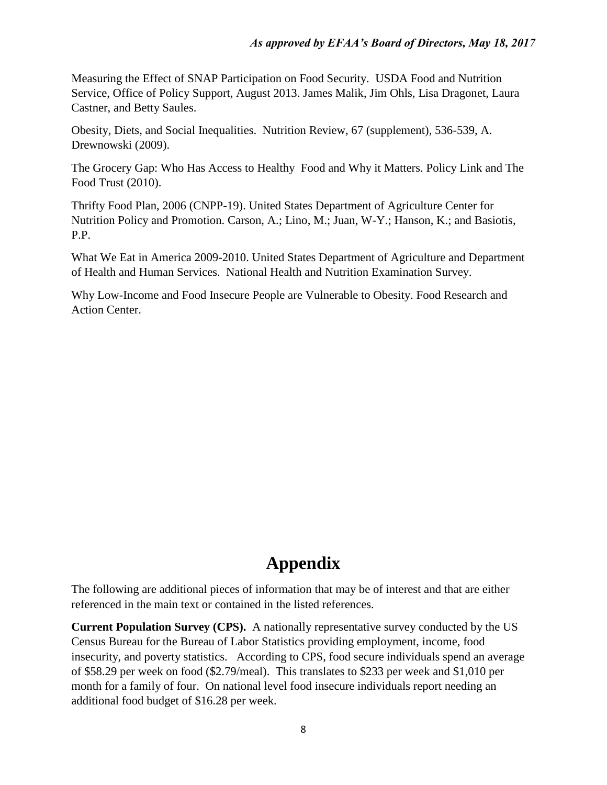Measuring the Effect of SNAP Participation on Food Security. USDA Food and Nutrition Service, Office of Policy Support, August 2013. James Malik, Jim Ohls, Lisa Dragonet, Laura Castner, and Betty Saules.

Obesity, Diets, and Social Inequalities. Nutrition Review, 67 (supplement), 536-539, A. Drewnowski (2009).

The Grocery Gap: Who Has Access to Healthy Food and Why it Matters. Policy Link and The Food Trust (2010).

Thrifty Food Plan, 2006 (CNPP-19). United States Department of Agriculture Center for Nutrition Policy and Promotion. Carson, A.; Lino, M.; Juan, W-Y.; Hanson, K.; and Basiotis, P.P.

What We Eat in America 2009-2010. United States Department of Agriculture and Department of Health and Human Services. National Health and Nutrition Examination Survey.

Why Low-Income and Food Insecure People are Vulnerable to Obesity. Food Research and Action Center.

# **Appendix**

The following are additional pieces of information that may be of interest and that are either referenced in the main text or contained in the listed references.

**Current Population Survey (CPS).** A nationally representative survey conducted by the US Census Bureau for the Bureau of Labor Statistics providing employment, income, food insecurity, and poverty statistics. According to CPS, food secure individuals spend an average of \$58.29 per week on food (\$2.79/meal). This translates to \$233 per week and \$1,010 per month for a family of four. On national level food insecure individuals report needing an additional food budget of \$16.28 per week.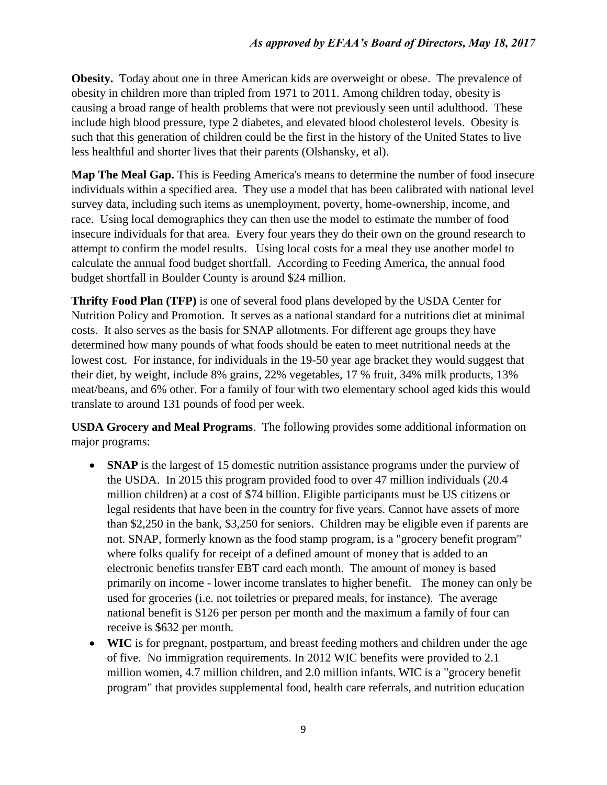**Obesity.** Today about one in three American kids are overweight or obese. The prevalence of obesity in children more than tripled from 1971 to 2011. Among children today, obesity is causing a broad range of health problems that were not previously seen until adulthood. These include high blood pressure, type 2 diabetes, and elevated blood cholesterol levels. Obesity is such that this generation of children could be the first in the history of the United States to live less healthful and shorter lives that their parents (Olshansky, et al).

**Map The Meal Gap.** This is Feeding America's means to determine the number of food insecure individuals within a specified area. They use a model that has been calibrated with national level survey data, including such items as unemployment, poverty, home-ownership, income, and race. Using local demographics they can then use the model to estimate the number of food insecure individuals for that area. Every four years they do their own on the ground research to attempt to confirm the model results. Using local costs for a meal they use another model to calculate the annual food budget shortfall. According to Feeding America, the annual food budget shortfall in Boulder County is around \$24 million.

**Thrifty Food Plan (TFP)** is one of several food plans developed by the USDA Center for Nutrition Policy and Promotion. It serves as a national standard for a nutritions diet at minimal costs. It also serves as the basis for SNAP allotments. For different age groups they have determined how many pounds of what foods should be eaten to meet nutritional needs at the lowest cost. For instance, for individuals in the 19-50 year age bracket they would suggest that their diet, by weight, include 8% grains, 22% vegetables, 17 % fruit, 34% milk products, 13% meat/beans, and 6% other. For a family of four with two elementary school aged kids this would translate to around 131 pounds of food per week.

**USDA Grocery and Meal Programs**. The following provides some additional information on major programs:

- **SNAP** is the largest of 15 domestic nutrition assistance programs under the purview of the USDA. In 2015 this program provided food to over 47 million individuals (20.4 million children) at a cost of \$74 billion. Eligible participants must be US citizens or legal residents that have been in the country for five years. Cannot have assets of more than \$2,250 in the bank, \$3,250 for seniors. Children may be eligible even if parents are not. SNAP, formerly known as the food stamp program, is a "grocery benefit program" where folks qualify for receipt of a defined amount of money that is added to an electronic benefits transfer EBT card each month. The amount of money is based primarily on income - lower income translates to higher benefit. The money can only be used for groceries (i.e. not toiletries or prepared meals, for instance). The average national benefit is \$126 per person per month and the maximum a family of four can receive is \$632 per month.
- **WIC** is for pregnant, postpartum, and breast feeding mothers and children under the age of five. No immigration requirements. In 2012 WIC benefits were provided to 2.1 million women, 4.7 million children, and 2.0 million infants. WIC is a "grocery benefit program" that provides supplemental food, health care referrals, and nutrition education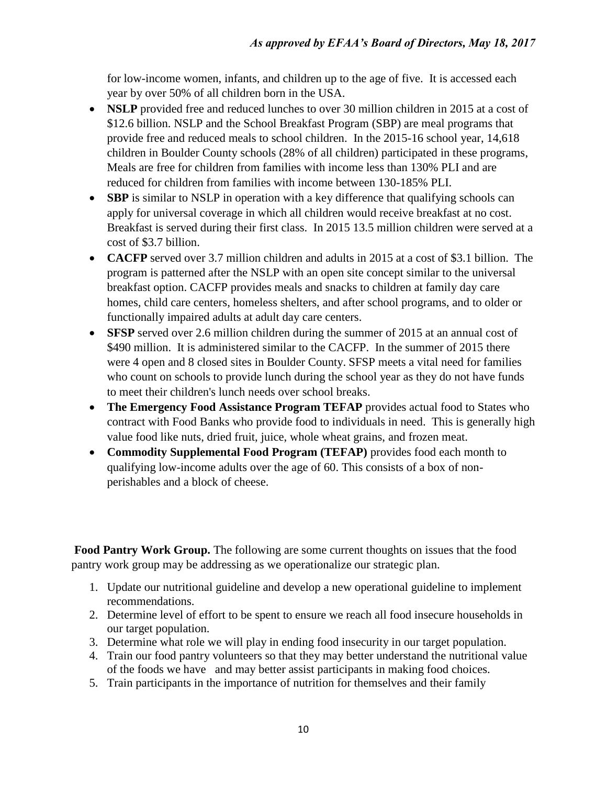for low-income women, infants, and children up to the age of five. It is accessed each year by over 50% of all children born in the USA.

- **NSLP** provided free and reduced lunches to over 30 million children in 2015 at a cost of \$12.6 billion. NSLP and the School Breakfast Program (SBP) are meal programs that provide free and reduced meals to school children. In the 2015-16 school year, 14,618 children in Boulder County schools (28% of all children) participated in these programs, Meals are free for children from families with income less than 130% PLI and are reduced for children from families with income between 130-185% PLI.
- **SBP** is similar to NSLP in operation with a key difference that qualifying schools can apply for universal coverage in which all children would receive breakfast at no cost. Breakfast is served during their first class. In 2015 13.5 million children were served at a cost of \$3.7 billion.
- **CACFP** served over 3.7 million children and adults in 2015 at a cost of \$3.1 billion. The program is patterned after the NSLP with an open site concept similar to the universal breakfast option. CACFP provides meals and snacks to children at family day care homes, child care centers, homeless shelters, and after school programs, and to older or functionally impaired adults at adult day care centers.
- **SFSP** served over 2.6 million children during the summer of 2015 at an annual cost of \$490 million. It is administered similar to the CACFP. In the summer of 2015 there were 4 open and 8 closed sites in Boulder County. SFSP meets a vital need for families who count on schools to provide lunch during the school year as they do not have funds to meet their children's lunch needs over school breaks.
- **The Emergency Food Assistance Program TEFAP** provides actual food to States who contract with Food Banks who provide food to individuals in need. This is generally high value food like nuts, dried fruit, juice, whole wheat grains, and frozen meat.
- **Commodity Supplemental Food Program (TEFAP)** provides food each month to qualifying low-income adults over the age of 60. This consists of a box of nonperishables and a block of cheese.

**Food Pantry Work Group.** The following are some current thoughts on issues that the food pantry work group may be addressing as we operationalize our strategic plan.

- 1. Update our nutritional guideline and develop a new operational guideline to implement recommendations.
- 2. Determine level of effort to be spent to ensure we reach all food insecure households in our target population.
- 3. Determine what role we will play in ending food insecurity in our target population.
- 4. Train our food pantry volunteers so that they may better understand the nutritional value of the foods we have and may better assist participants in making food choices.
- 5. Train participants in the importance of nutrition for themselves and their family